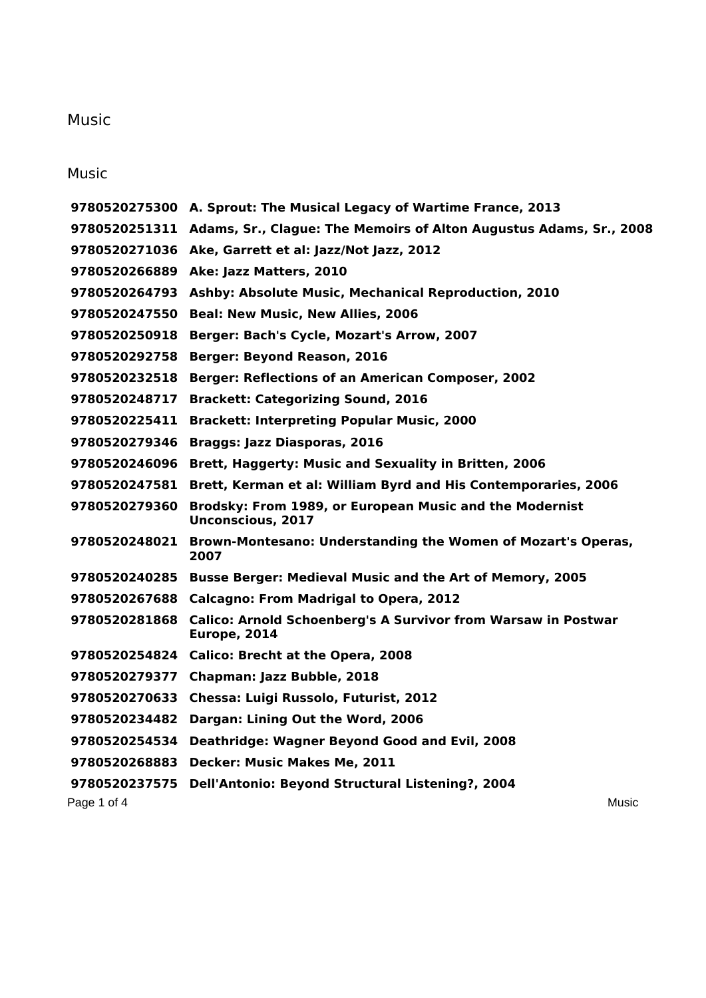## Music

## Music

|               | 9780520275300 A. Sprout: The Musical Legacy of Wartime France, 2013                  |
|---------------|--------------------------------------------------------------------------------------|
|               | 9780520251311 Adams, Sr., Clague: The Memoirs of Alton Augustus Adams, Sr., 2008     |
|               | 9780520271036 Ake, Garrett et al: Jazz/Not Jazz, 2012                                |
|               | 9780520266889 Ake: Jazz Matters, 2010                                                |
| 9780520264793 | <b>Ashby: Absolute Music, Mechanical Reproduction, 2010</b>                          |
| 9780520247550 | <b>Beal: New Music, New Allies, 2006</b>                                             |
| 9780520250918 | Berger: Bach's Cycle, Mozart's Arrow, 2007                                           |
| 9780520292758 | <b>Berger: Beyond Reason, 2016</b>                                                   |
| 9780520232518 | <b>Berger: Reflections of an American Composer, 2002</b>                             |
| 9780520248717 | <b>Brackett: Categorizing Sound, 2016</b>                                            |
| 9780520225411 | <b>Brackett: Interpreting Popular Music, 2000</b>                                    |
| 9780520279346 | <b>Braggs: Jazz Diasporas, 2016</b>                                                  |
| 9780520246096 | Brett, Haggerty: Music and Sexuality in Britten, 2006                                |
| 9780520247581 | Brett, Kerman et al: William Byrd and His Contemporaries, 2006                       |
| 9780520279360 | Brodsky: From 1989, or European Music and the Modernist<br><b>Unconscious, 2017</b>  |
|               | 9780520248021 Brown-Montesano: Understanding the Women of Mozart's Operas,<br>2007   |
|               | 9780520240285 Busse Berger: Medieval Music and the Art of Memory, 2005               |
| 9780520267688 | <b>Calcagno: From Madrigal to Opera, 2012</b>                                        |
| 9780520281868 | <b>Calico: Arnold Schoenberg's A Survivor from Warsaw in Postwar</b><br>Europe, 2014 |
|               | 9780520254824 Calico: Brecht at the Opera, 2008                                      |
| 9780520279377 | Chapman: Jazz Bubble, 2018                                                           |
| 9780520270633 | Chessa: Luigi Russolo, Futurist, 2012                                                |
| 9780520234482 | Dargan: Lining Out the Word, 2006                                                    |
| 9780520254534 | <b>Deathridge: Wagner Beyond Good and Evil, 2008</b>                                 |
| 9780520268883 | <b>Decker: Music Makes Me, 2011</b>                                                  |
| 9780520237575 | Dell'Antonio: Beyond Structural Listening?, 2004                                     |
| Page 1 of 4   | Music                                                                                |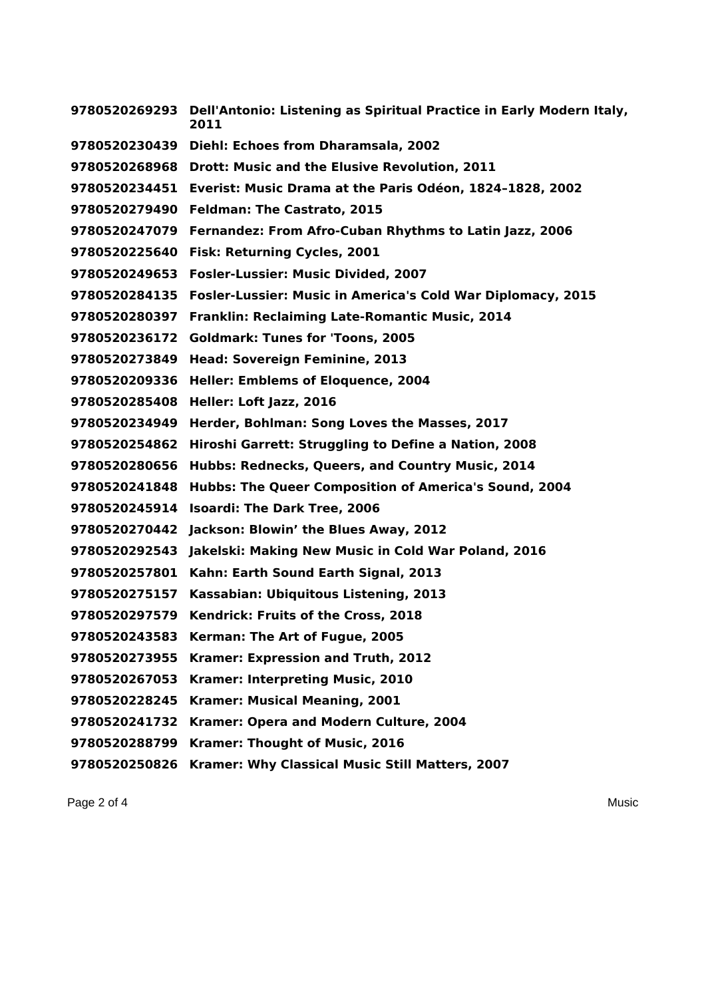**Dell'Antonio: Listening as Spiritual Practice in Early Modern Italy, Diehl: Echoes from Dharamsala, 2002 Drott: Music and the Elusive Revolution, 2011 Everist: Music Drama at the Paris Odéon, 1824–1828, 2002 Feldman: The Castrato, 2015 Fernandez: From Afro-Cuban Rhythms to Latin Jazz, 2006 Fisk: Returning Cycles, 2001 Fosler-Lussier: Music Divided, 2007 Fosler-Lussier: Music in America's Cold War Diplomacy, 2015 Franklin: Reclaiming Late-Romantic Music, 2014 Goldmark: Tunes for 'Toons, 2005 Head: Sovereign Feminine, 2013 Heller: Emblems of Eloquence, 2004 Heller: Loft Jazz, 2016 Herder, Bohlman: Song Loves the Masses, 2017 Hiroshi Garrett: Struggling to Define a Nation, 2008 Hubbs: Rednecks, Queers, and Country Music, 2014 Hubbs: The Queer Composition of America's Sound, 2004 Isoardi: The Dark Tree, 2006 Jackson: Blowin' the Blues Away, 2012 Jakelski: Making New Music in Cold War Poland, 2016 Kahn: Earth Sound Earth Signal, 2013 Kassabian: Ubiquitous Listening, 2013 Kendrick: Fruits of the Cross, 2018 Kerman: The Art of Fugue, 2005 Kramer: Expression and Truth, 2012 Kramer: Interpreting Music, 2010 Kramer: Musical Meaning, 2001 Kramer: Opera and Modern Culture, 2004 Kramer: Thought of Music, 2016 Kramer: Why Classical Music Still Matters, 2007**

Page 2 of 4 Music Number 2 of 4 Music Number 2 of 4 Music Number 2 of 4 Music Number 2 of 4 Music Number 2 of 4 Music Number 2 of 4 Music Number 2 of 4 Music Number 2 of 4 Music Number 2 of 4 Music Number 2 of 4 Music Numb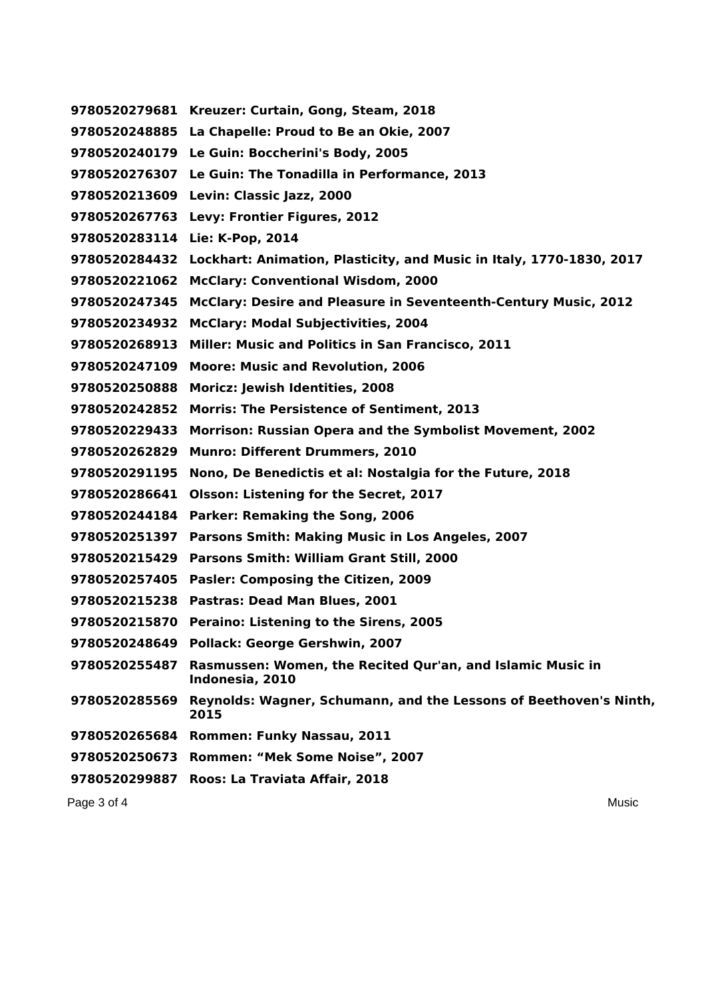Page 3 of 4 Music Number 2 of 4 Music Number 2 of 4 Music Number 2 of 5 AMusic Number 2 of 4 Music Number 2 of 5 AMusic Number 2 of 5 AMusic Number 2 of 5 AMusic Number 2 of 5 AMusic Number 2 of 5 AMusic Number 2 of 5 AMus **Kreuzer: Curtain, Gong, Steam, 2018 La Chapelle: Proud to Be an Okie, 2007 Le Guin: Boccherini's Body, 2005 Le Guin: The Tonadilla in Performance, 2013 Levin: Classic Jazz, 2000 Levy: Frontier Figures, 2012 Lie: K-Pop, 2014 Lockhart: Animation, Plasticity, and Music in Italy, 1770-1830, 2017 McClary: Conventional Wisdom, 2000 McClary: Desire and Pleasure in Seventeenth-Century Music, 2012 McClary: Modal Subjectivities, 2004 Miller: Music and Politics in San Francisco, 2011 Moore: Music and Revolution, 2006 Moricz: Jewish Identities, 2008 Morris: The Persistence of Sentiment, 2013 Morrison: Russian Opera and the Symbolist Movement, 2002 Munro: Different Drummers, 2010 Nono, De Benedictis et al: Nostalgia for the Future, 2018 Olsson: Listening for the Secret, 2017 Parker: Remaking the Song, 2006 Parsons Smith: Making Music in Los Angeles, 2007 Parsons Smith: William Grant Still, 2000 Pasler: Composing the Citizen, 2009 Pastras: Dead Man Blues, 2001 Peraino: Listening to the Sirens, 2005 Pollack: George Gershwin, 2007 Rasmussen: Women, the Recited Qur'an, and Islamic Music in Indonesia, 2010 Reynolds: Wagner, Schumann, and the Lessons of Beethoven's Ninth, Rommen: Funky Nassau, 2011 Rommen: "Mek Some Noise", 2007 Roos: La Traviata Affair, 2018**